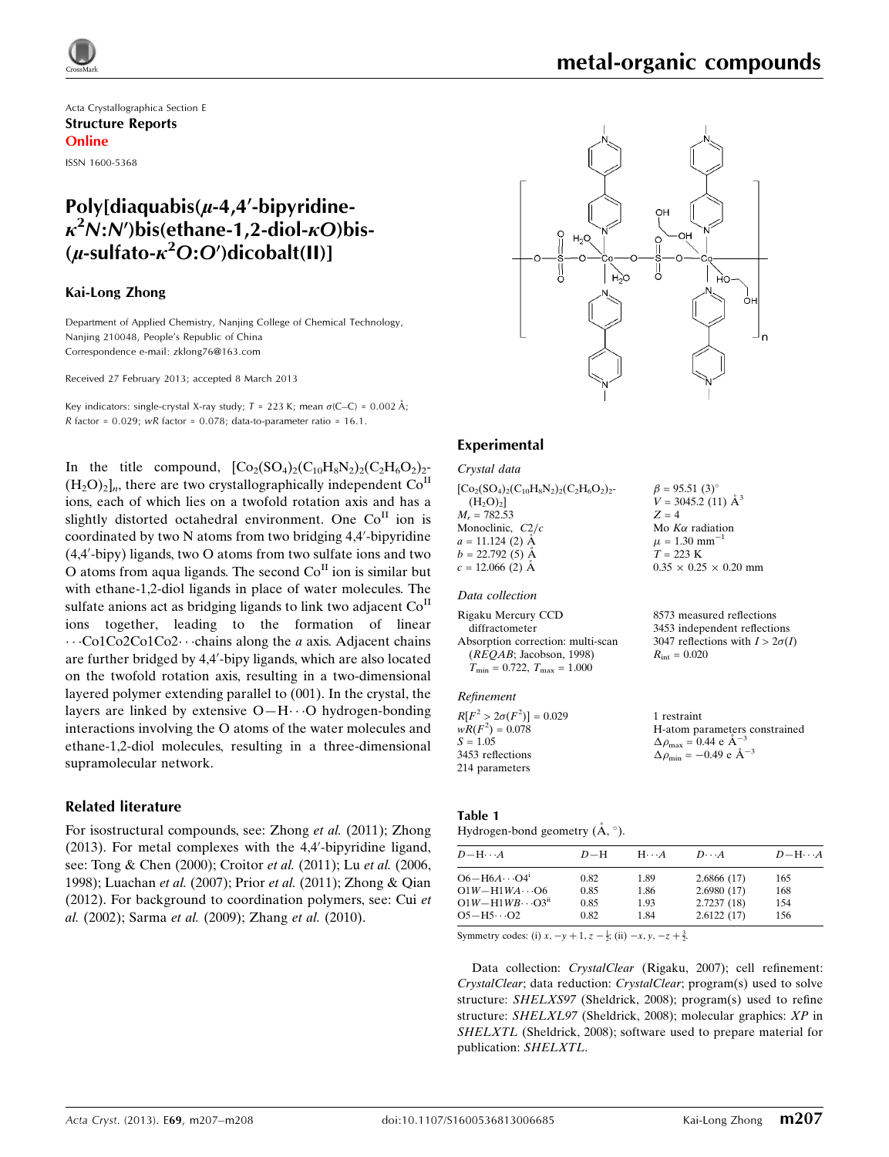Acta Crystallographica Section E Structure Reports Online

ISSN 1600-5368

## Poly[diaquabis( $\mu$ -4,4'-bipyridine- $\kappa^2$ N:N')bis(ethane-1,2-diol- $\kappa$ O)bis- $(\mu$ -sulfato- $\kappa^2$ O:O')dicobalt(II)]

### Kai-Long Zhong

Department of Applied Chemistry, Nanjing College of Chemical Technology, Nanjing 210048, People's Republic of China Correspondence e-mail: [zklong76@163.com](https://scripts.iucr.org/cgi-bin/cr.cgi?rm=pdfbb&cnor=mw2105&bbid=BB15)

Received 27 February 2013; accepted 8 March 2013

Key indicators: single-crystal X-ray study;  $T = 223$  K; mean  $\sigma$ (C–C) = 0.002 Å; R factor =  $0.029$ ; wR factor =  $0.078$ ; data-to-parameter ratio = 16.1.

In the title compound,  $[Co_2(SO_4)_2(C_{10}H_8N_2)_2(C_2H_6O_2)_2$ - $(H_2O)_2$ <sub>n</sub>, there are two crystallographically independent Co<sup>II</sup> ions, each of which lies on a twofold rotation axis and has a slightly distorted octahedral environment. One Co<sup>II</sup> ion is coordinated by two N atoms from two bridging 4,4'-bipyridine (4,4'-bipy) ligands, two O atoms from two sulfate ions and two O atoms from aqua ligands. The second  $Co<sup>H</sup>$  ion is similar but with ethane-1,2-diol ligands in place of water molecules. The sulfate anions act as bridging ligands to link two adjacent  $Co<sup>H</sup>$ ions together, leading to the formation of linear ...Co1Co2Co1Co2...chains along the *a* axis. Adjacent chains are further bridged by 4,4'-bipy ligands, which are also located on the twofold rotation axis, resulting in a two-dimensional layered polymer extending parallel to (001). In the crystal, the layers are linked by extensive O-H $\cdots$ O hydrogen-bonding interactions involving the O atoms of the water molecules and ethane-1,2-diol molecules, resulting in a three-dimensional supramolecular network.

## Related literature

For isostructural compounds, see: Zhong et al. (2011); Zhong  $(2013)$ . For metal complexes with the 4,4'-bipyridine ligand, see: Tong & Chen (2000); Croitor et al. (2011); Lu et al. (2006, 1998); Luachan et al. (2007); Prior et al. (2011); Zhong & Qian (2012). For background to coordination polymers, see: Cui et al. (2002); Sarma et al. (2009); Zhang et al. (2010).



### Experimental

#### Crystal data

 $[Co_2(SO_4)_2(C_{10}H_8N_2)_2(C_2H_6O_2)_2$ - $(H_2O)_2]$  $M_r = 782.53$ Monoclinic,  $C2/c$  $a = 11.124$  (2)  $\AA$  $b = 22.792(5)$  Å  $c = 12.066$  (2) Å  $\beta = 95.51$  (3)<sup>o</sup>  $V = 3045.2$  (11)  $\AA^3$  $Z = 4$ Mo  $K\alpha$  radiation  $\mu = 1.30$  mm<sup>-1</sup>  $T = 223$  K  $0.35 \times 0.25 \times 0.20$  mm

#### Data collection

| Rigaku Mercury CCD                               | 8573 measured reflections              |
|--------------------------------------------------|----------------------------------------|
| diffractometer                                   | 3453 independent reflections           |
| Absorption correction: multi-scan                | 3047 reflections with $I > 2\sigma(I)$ |
| (REOAB; Jacobson, 1998)                          | $R_{\rm int} = 0.020$                  |
| $T_{\text{min}} = 0.722, T_{\text{max}} = 1.000$ |                                        |
|                                                  |                                        |

#### Refinement

| $R[F^2 > 2\sigma(F^2)] = 0.029$ | 1 restraint                                        |
|---------------------------------|----------------------------------------------------|
| $wR(F^2) = 0.078$               | H-atom parameters constrained                      |
| $S = 1.05$                      | $\Delta \rho_{\text{max}} = 0.44 \text{ e A}^{-3}$ |
| 3453 reflections                | $\Delta \rho_{\text{min}} = -0.49$ e $\AA^{-3}$    |
| 214 parameters                  |                                                    |

#### Table 1

#### Hydrogen-bond geometry  $(A, \circ)$ .

| $D - H \cdots A$                              | $D-H$        | $H\cdots A$  | $D\cdots A$              | $D - H \cdots A$ |
|-----------------------------------------------|--------------|--------------|--------------------------|------------------|
| $O6-H6A\cdots O4^i$<br>$O1W - H1WA \cdots O6$ | 0.82<br>0.85 | 1.89<br>1.86 | 2.6866(17)<br>2.6980(17) | 165              |
| $O1W - H1WB \cdots O3ii$                      | 0.85         | 1.93         | 2.7237(18)               | 168<br>154       |
| $O5-H5\cdots O2$                              | 0.82         | 1.84         | 2.6122(17)               | 156              |

Symmetry codes: (i)  $x, -y + 1, z - \frac{1}{2}$ ; (ii)  $-x, y, -z + \frac{3}{2}$ .

Data collection: CrystalClear (Rigaku, 2007); cell refinement: CrystalClear; data reduction: CrystalClear; program(s) used to solve structure: SHELXS97 (Sheldrick, 2008); program(s) used to refine structure: SHELXL97 (Sheldrick, 2008); molecular graphics: XP in SHELXTL (Sheldrick, 2008); software used to prepare material for publication: SHELXTL.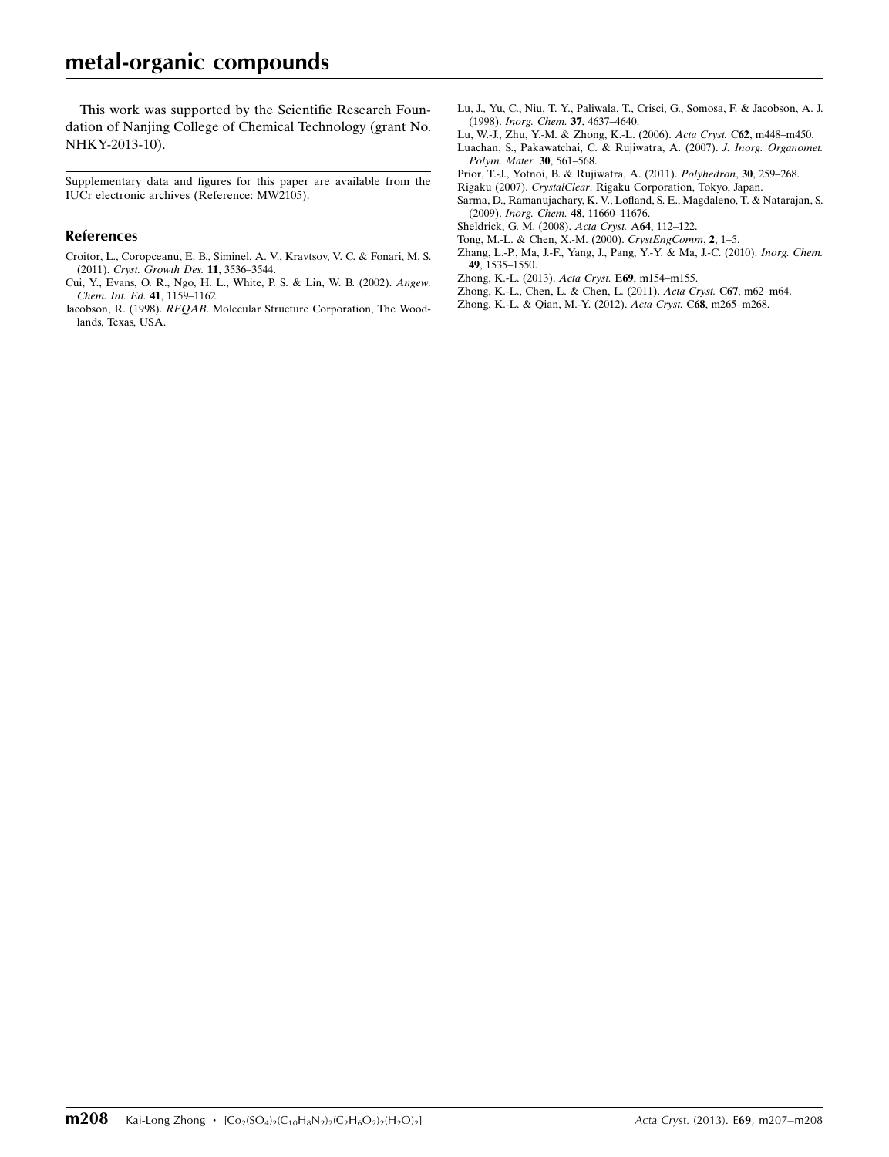This work was supported by the Scientific Research Foundation of Nanjing College of Chemical Technology (grant No. NHKY-2013-10).

Supplementary data and figures for this paper are available from the IUCr electronic archives (Reference: MW2105).

#### References

- [Croitor, L., Coropceanu, E. B., Siminel, A. V., Kravtsov, V. C. & Fonari, M. S.](https://scripts.iucr.org/cgi-bin/cr.cgi?rm=pdfbb&cnor=mw2105&bbid=BB1) (2011). [Cryst. Growth Des.](https://scripts.iucr.org/cgi-bin/cr.cgi?rm=pdfbb&cnor=mw2105&bbid=BB1) 11, 3536–3544.
- [Cui, Y., Evans, O. R., Ngo, H. L., White, P. S. & Lin, W. B. \(2002\).](https://scripts.iucr.org/cgi-bin/cr.cgi?rm=pdfbb&cnor=mw2105&bbid=BB2) Angew. [Chem. Int. Ed.](https://scripts.iucr.org/cgi-bin/cr.cgi?rm=pdfbb&cnor=mw2105&bbid=BB2) 41, 1159–1162.
- Jacobson, R. (1998). REQAB[. Molecular Structure Corporation, The Wood](https://scripts.iucr.org/cgi-bin/cr.cgi?rm=pdfbb&cnor=mw2105&bbid=BB3)[lands, Texas, USA.](https://scripts.iucr.org/cgi-bin/cr.cgi?rm=pdfbb&cnor=mw2105&bbid=BB3)
- [Lu, J., Yu, C., Niu, T. Y., Paliwala, T., Crisci, G., Somosa, F. & Jacobson, A. J.](https://scripts.iucr.org/cgi-bin/cr.cgi?rm=pdfbb&cnor=mw2105&bbid=BB4) (1998). [Inorg. Chem.](https://scripts.iucr.org/cgi-bin/cr.cgi?rm=pdfbb&cnor=mw2105&bbid=BB4) 37, 4637–4640.
- [Lu, W.-J., Zhu, Y.-M. & Zhong, K.-L. \(2006\).](https://scripts.iucr.org/cgi-bin/cr.cgi?rm=pdfbb&cnor=mw2105&bbid=BB5) Acta Cryst. C62, m448–m450.
- [Luachan, S., Pakawatchai, C. & Rujiwatra, A. \(2007\).](https://scripts.iucr.org/cgi-bin/cr.cgi?rm=pdfbb&cnor=mw2105&bbid=BB6) J. Inorg. Organomet. [Polym. Mater.](https://scripts.iucr.org/cgi-bin/cr.cgi?rm=pdfbb&cnor=mw2105&bbid=BB6) 30, 561–568.
- [Prior, T.-J., Yotnoi, B. & Rujiwatra, A. \(2011\).](https://scripts.iucr.org/cgi-bin/cr.cgi?rm=pdfbb&cnor=mw2105&bbid=BB7) Polyhedron, 30, 259–268.
- Rigaku (2007). CrystalClear[. Rigaku Corporation, Tokyo, Japan.](https://scripts.iucr.org/cgi-bin/cr.cgi?rm=pdfbb&cnor=mw2105&bbid=BB8)
- [Sarma, D., Ramanujachary, K. V., Lofland, S. E., Magdaleno, T. & Natarajan, S.](https://scripts.iucr.org/cgi-bin/cr.cgi?rm=pdfbb&cnor=mw2105&bbid=BB9) (2009). Inorg. Chem. 48[, 11660–11676.](https://scripts.iucr.org/cgi-bin/cr.cgi?rm=pdfbb&cnor=mw2105&bbid=BB9)
- [Sheldrick, G. M. \(2008\).](https://scripts.iucr.org/cgi-bin/cr.cgi?rm=pdfbb&cnor=mw2105&bbid=BB10) Acta Cryst. A64, 112–122.
- [Tong, M.-L. & Chen, X.-M. \(2000\).](https://scripts.iucr.org/cgi-bin/cr.cgi?rm=pdfbb&cnor=mw2105&bbid=BB11) CrystEngComm, 2, 1–5.
- [Zhang, L.-P., Ma, J.-F., Yang, J., Pang, Y.-Y. & Ma, J.-C. \(2010\).](https://scripts.iucr.org/cgi-bin/cr.cgi?rm=pdfbb&cnor=mw2105&bbid=BB12) Inorg. Chem. 49[, 1535–1550.](https://scripts.iucr.org/cgi-bin/cr.cgi?rm=pdfbb&cnor=mw2105&bbid=BB12)
- [Zhong, K.-L. \(2013\).](https://scripts.iucr.org/cgi-bin/cr.cgi?rm=pdfbb&cnor=mw2105&bbid=BB13) Acta Cryst. E69, m154–m155.
- [Zhong, K.-L., Chen, L. & Chen, L. \(2011\).](https://scripts.iucr.org/cgi-bin/cr.cgi?rm=pdfbb&cnor=mw2105&bbid=BB14) Acta Cryst. C67, m62–m64.
- [Zhong, K.-L. & Qian, M.-Y. \(2012\).](https://scripts.iucr.org/cgi-bin/cr.cgi?rm=pdfbb&cnor=mw2105&bbid=BB15) Acta Cryst. C68, m265–m268.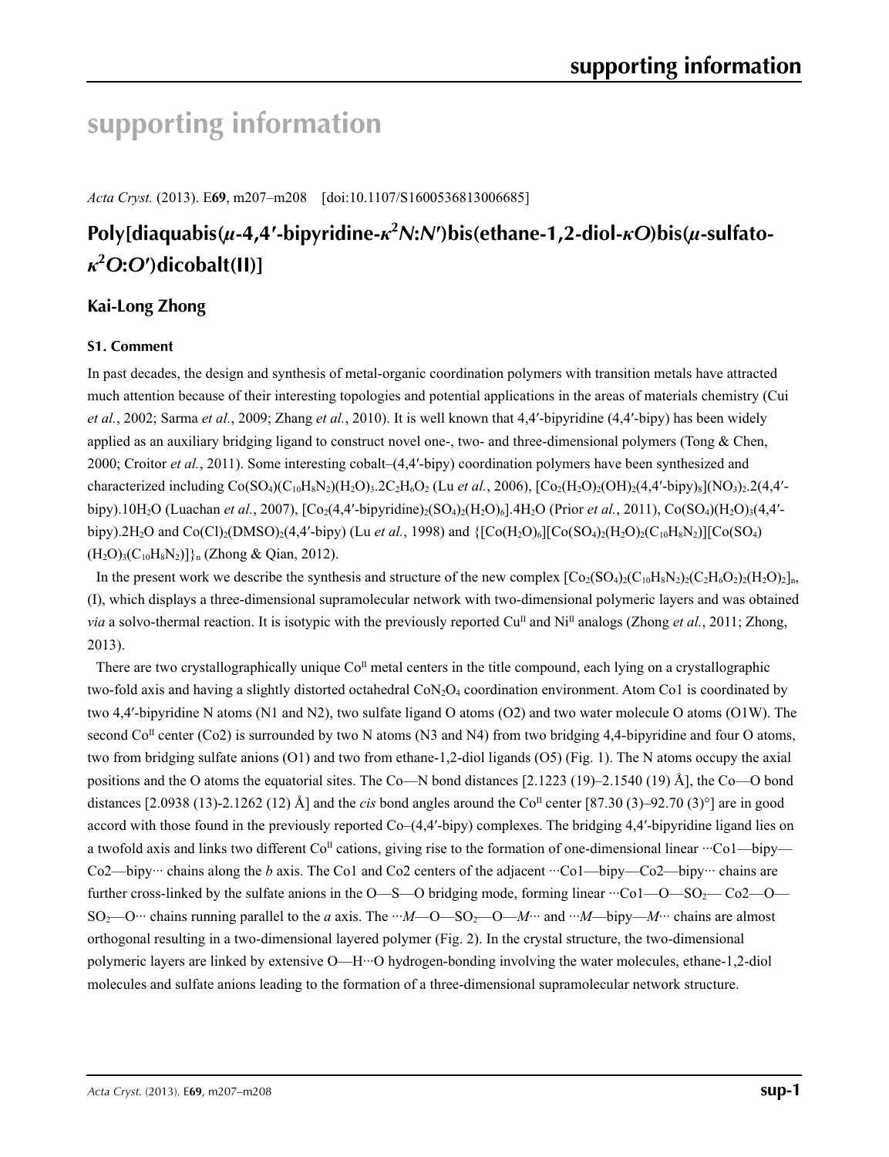# **supporting information**

*Acta Cryst.* (2013). E**69**, m207–m208 [doi:10.1107/S1600536813006685]

# **Poly[diaquabis(***µ***-4,4′-bipyridine-***κ***<sup>2</sup>** *N***:***N***′)bis(ethane-1,2-diol-***κO***)bis(***µ***-sulfato***κ***2** *O***:***O***′)dicobalt(II)]**

## **Kai-Long Zhong**

## **S1. Comment**

In past decades, the design and synthesis of metal-organic coordination polymers with transition metals have attracted much attention because of their interesting topologies and potential applications in the areas of materials chemistry (Cui *et al.*, 2002; Sarma *et al.*, 2009; Zhang *et al.*, 2010). It is well known that 4,4′-bipyridine (4,4′-bipy) has been widely applied as an auxiliary bridging ligand to construct novel one-, two- and three-dimensional polymers (Tong & Chen, 2000; Croitor *et al.*, 2011). Some interesting cobalt–(4,4′-bipy) coordination polymers have been synthesized and characterized including  $Co(SO_4)(C_{10}H_8N_2)(H_2O)_3$ ,  $2C_2H_6O_2$  (Lu *et al.*, 2006),  $[Co_2(H_2O)_2(OH)_2(4,4'-bipy)_8](NO_3)_2$ , 2(4,4'bipy).10H<sub>2</sub>O (Luachan *et al.*, 2007), [Co<sub>2</sub>(4,4'-bipyridine)<sub>2</sub>(SO<sub>4</sub>)<sub>2</sub>(H<sub>2</sub>O)<sub>6</sub>].4H<sub>2</sub>O (Prior *et al.*, 2011), Co(SO<sub>4</sub>)(H<sub>2</sub>O)<sub>3</sub>(4,4'bipy).2H<sub>2</sub>O and Co(Cl)<sub>2</sub>(DMSO)<sub>2</sub>(4,4'-bipy) (Lu *et al.*, 1998) and {[Co(H<sub>2</sub>O)<sub>6</sub>][Co(SO<sub>4)2</sub>(H<sub>2</sub>O)<sub>2</sub>(C<sub>10</sub>H<sub>8</sub>N<sub>2</sub>)][Co(SO<sub>4</sub>)  $(H_2O)_3(C_{10}H_8N_2)$ ] $_{n}$  (Zhong & Qian, 2012).

In the present work we describe the synthesis and structure of the new complex  $[Co_{2}(SO_{4})c(C_{10}H_{8}N_{2})c(C_{10}H_{6}O_{2})c(H_{2}O_{2})]_{n}$ (I), which displays a three-dimensional supramolecular network with two-dimensional polymeric layers and was obtained *via* a solvo-thermal reaction. It is isotypic with the previously reported Cu<sup>II</sup> and Ni<sup>II</sup> analogs (Zhong *et al.*, 2011; Zhong, 2013).

There are two crystallographically unique  $Co<sup>II</sup>$  metal centers in the title compound, each lying on a crystallographic two-fold axis and having a slightly distorted octahedral CoN<sub>2</sub>O<sub>4</sub> coordination environment. Atom Co1 is coordinated by two 4,4′-bipyridine N atoms (N1 and N2), two sulfate ligand O atoms (O2) and two water molecule O atoms (O1W). The second  $Co<sup>II</sup>$  center (Co2) is surrounded by two N atoms (N3 and N4) from two bridging 4,4-bipyridine and four O atoms, two from bridging sulfate anions (O1) and two from ethane-1,2-diol ligands (O5) (Fig. 1). The N atoms occupy the axial positions and the O atoms the equatorial sites. The Co—N bond distances [2.1223 (19)–2.1540 (19) Å], the Co—O bond distances [2.0938 (13)-2.1262 (12) Å] and the *cis* bond angles around the Co<sup>II</sup> center [87.30 (3)–92.70 (3)<sup>°</sup>] are in good accord with those found in the previously reported Co–(4,4′-bipy) complexes. The bridging 4,4′-bipyridine ligand lies on a twofold axis and links two different Co<sup>II</sup> cations, giving rise to the formation of one-dimensional linear  $\cdot\cdot\cdot$ Co1—bipy— Co2—bipy… chains along the *b* axis. The Co1 and Co2 centers of the adjacent ···Co1—bipy—Co2—bipy… chains are further cross-linked by the sulfate anions in the O—S—O bridging mode, forming linear ···Co1—O—SO2— Co2—O— SO<sub>2</sub>—O… chains running parallel to the *a* axis. The  $M - O - SO_2 - O - M$  and  $M - b$ ipy—*M*… chains are almost orthogonal resulting in a two-dimensional layered polymer (Fig. 2). In the crystal structure, the two-dimensional polymeric layers are linked by extensive O—H···O hydrogen-bonding involving the water molecules, ethane-1,2-diol molecules and sulfate anions leading to the formation of a three-dimensional supramolecular network structure.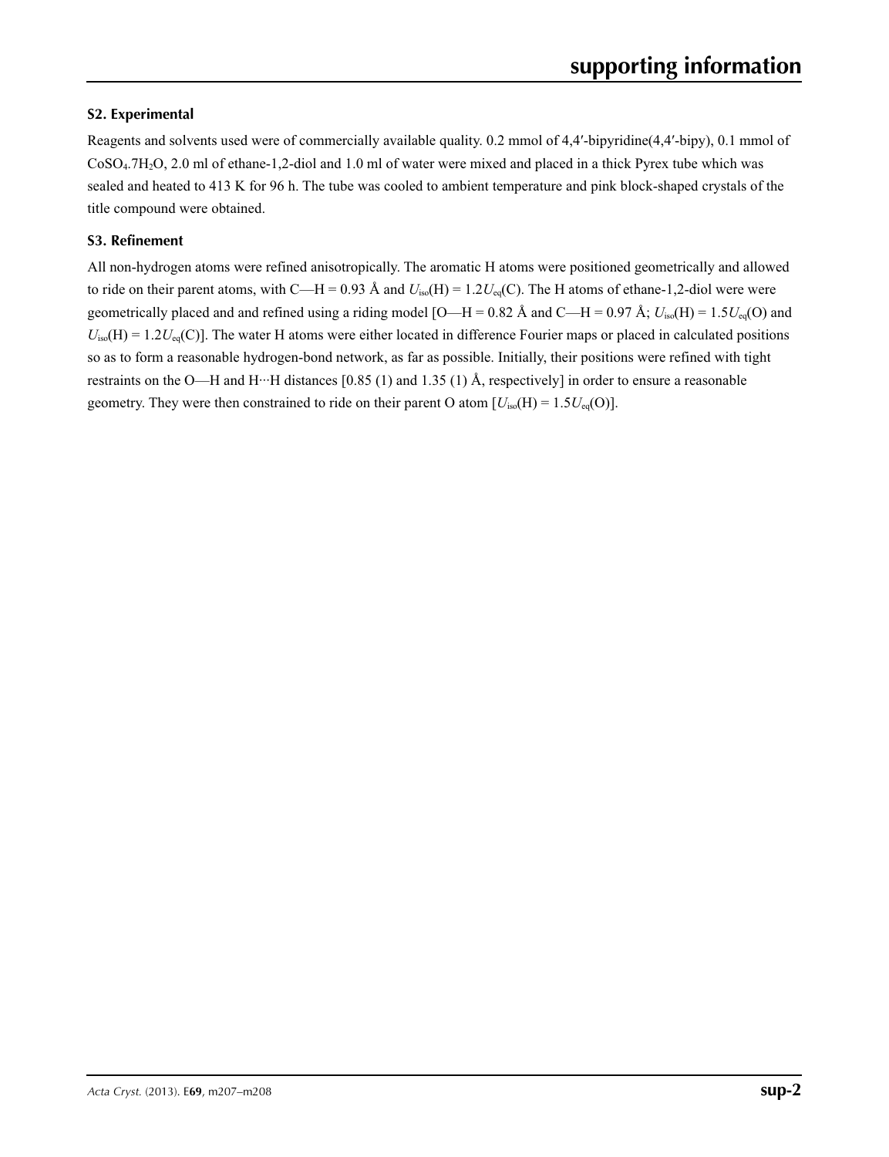## **S2. Experimental**

Reagents and solvents used were of commercially available quality. 0.2 mmol of 4,4′-bipyridine(4,4′-bipy), 0.1 mmol of CoSO4.7H2O, 2.0 ml of ethane-1,2-diol and 1.0 ml of water were mixed and placed in a thick Pyrex tube which was sealed and heated to 413 K for 96 h. The tube was cooled to ambient temperature and pink block-shaped crystals of the title compound were obtained.

## **S3. Refinement**

All non-hydrogen atoms were refined anisotropically. The aromatic H atoms were positioned geometrically and allowed to ride on their parent atoms, with C—H = 0.93 Å and  $U_{iso}(H) = 1.2U_{eq}(C)$ . The H atoms of ethane-1,2-diol were were geometrically placed and and refined using a riding model [O—H = 0.82 Å and C—H = 0.97 Å;  $U_{iso}(H) = 1.5U_{eq}(O)$  and  $U_{iso}(H) = 1.2U_{eq}(C)$ ]. The water H atoms were either located in difference Fourier maps or placed in calculated positions so as to form a reasonable hydrogen-bond network, as far as possible. Initially, their positions were refined with tight restraints on the O—H and H···H distances [0.85 (1) and 1.35 (1) Å, respectively] in order to ensure a reasonable geometry. They were then constrained to ride on their parent O atom  $[U_{iso}(H) = 1.5U_{eq}(O)]$ .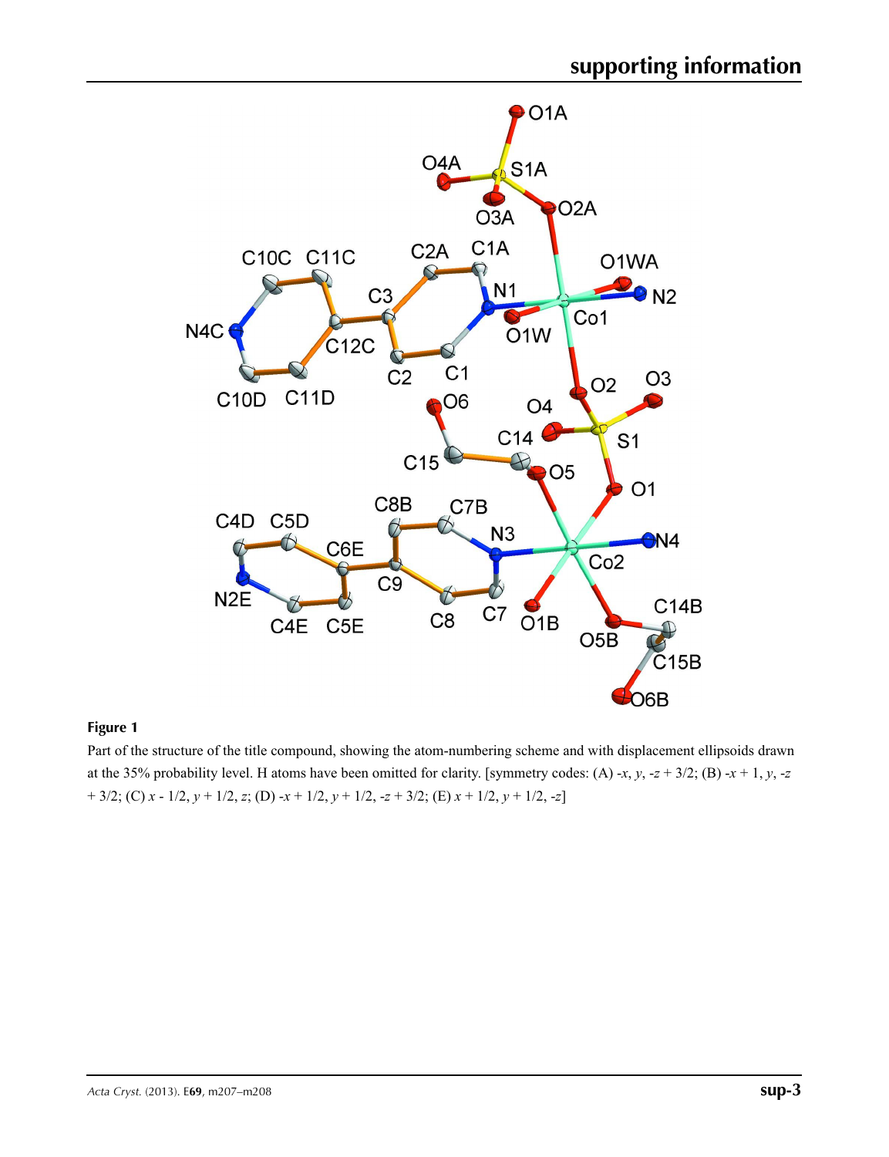

## **Figure 1**

Part of the structure of the title compound, showing the atom-numbering scheme and with displacement ellipsoids drawn at the 35% probability level. H atoms have been omitted for clarity. [symmetry codes: (A) -*x*, *y*, -*z* + 3/2; (B) -*x* + 1, *y*, -*z* + 3/2; (C) *x* - 1/2, *y* + 1/2, *z*; (D) -*x* + 1/2, *y* + 1/2, -*z* + 3/2; (E) *x* + 1/2, *y* + 1/2, -*z*]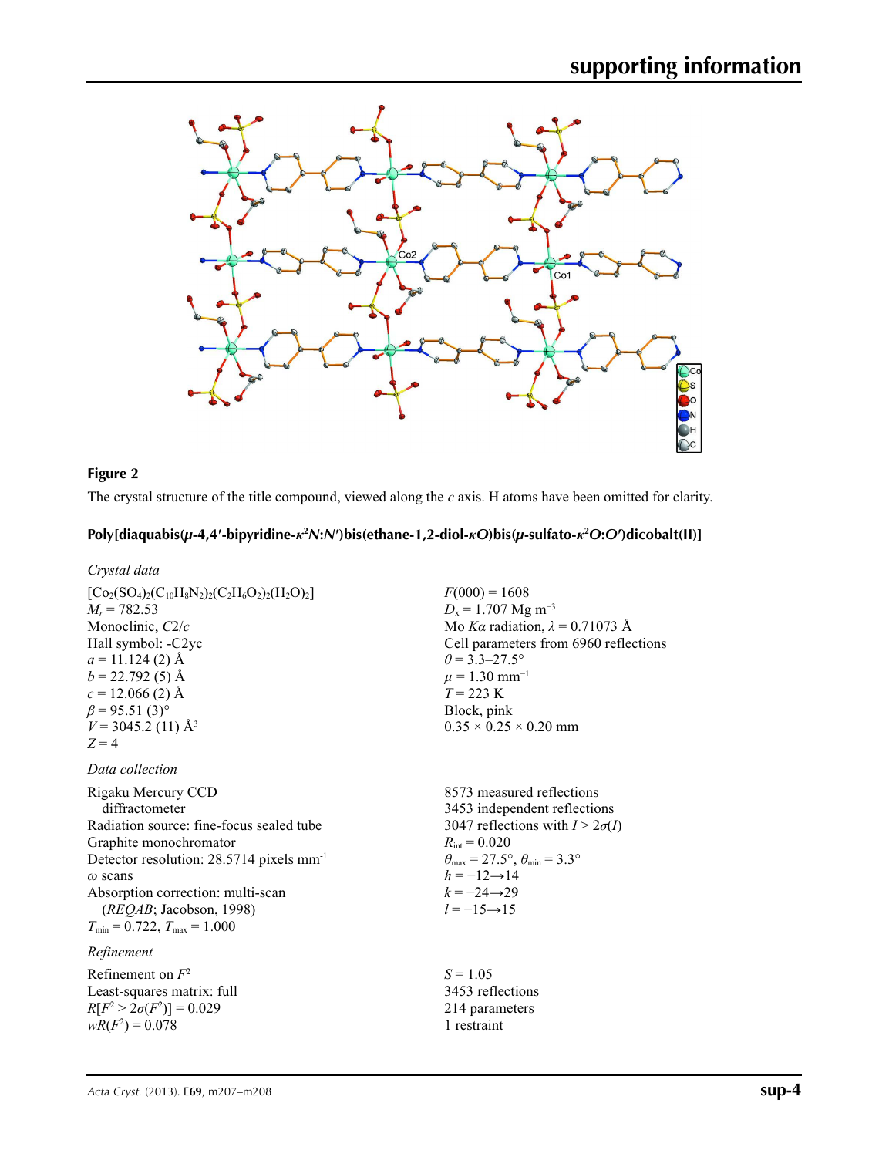

## **Figure 2**

The crystal structure of the title compound, viewed along the *c* axis. H atoms have been omitted for clarity.

## Poly[diaquabis( $\mu$ -4,4'-bipyridine- $\kappa^2 N: N'$ )bis(ethane-1,2-diol- $\kappa O$ )bis( $\mu$ -sulfato- $\kappa^2 O: O'$ )dicobalt(II)]

## *Crystal data*

| $[Co_2(SO_4)_2(C_{10}H_8N_2)_2(C_2H_6O_2)_2(H_2O)_2]$ |
|-------------------------------------------------------|
| $M_r = 782.53$                                        |
| Monoclinic, $C2/c$                                    |
| Hall symbol: -C <sub>2yc</sub>                        |
| $a = 11.124(2)$ Å                                     |
| $b = 22.792(5)$ Å                                     |
| $c = 12.066(2)$ Å                                     |
| $\beta$ = 95.51 (3) <sup>o</sup>                      |
| $V = 3045.2$ (11) Å <sup>3</sup>                      |
| $Z=4$                                                 |
| Data collection                                       |

Rigaku Mercury CCD diffractometer Radiation source: fine-focus sealed tube Graphite monochromator Detector resolution: 28.5714 pixels mm-1 *ω* scans Absorption correction: multi-scan (*REQAB*; Jacobson, 1998)  $T_{\text{min}} = 0.722$ ,  $T_{\text{max}} = 1.000$ 

## *Refinement*

Refinement on *F*<sup>2</sup> Least-squares matrix: full  $R[F^2 > 2\sigma(F^2)] = 0.029$  $wR(F^2) = 0.078$ 

 $F(000) = 1608$  $D_x = 1.707$  Mg m<sup>-3</sup> Mo *Kα* radiation, *λ* = 0.71073 Å Cell parameters from 6960 reflections  $\theta$  = 3.3–27.5°  $\mu = 1.30$  mm<sup>-1</sup>  $T = 223$  K Block, pink  $0.35 \times 0.25 \times 0.20$  mm

8573 measured reflections 3453 independent reflections 3047 reflections with  $I > 2\sigma(I)$  $R_{\text{int}} = 0.020$  $\theta_{\text{max}} = 27.5^{\circ}, \theta_{\text{min}} = 3.3^{\circ}$  $h = -12 \rightarrow 14$  $k = -24 \rightarrow 29$ *l* = −15→15

 $S = 1.05$ 3453 reflections 214 parameters 1 restraint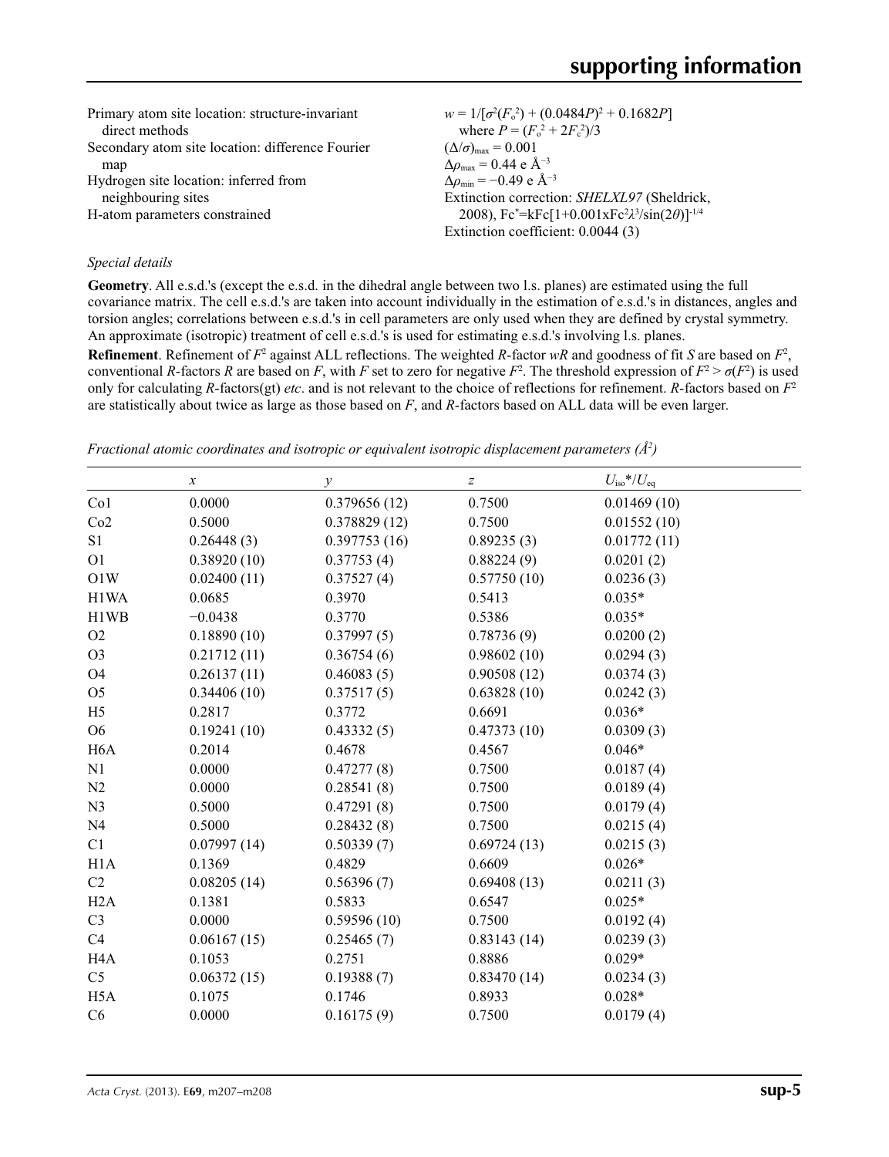| Primary atom site location: structure-invariant  | $w = 1/[\sigma^2(F_0^2) + (0.0484P)^2 + 0.1682P]$                                                    |
|--------------------------------------------------|------------------------------------------------------------------------------------------------------|
| direct methods                                   | where $P = (F_o^2 + 2F_c^2)/3$                                                                       |
| Secondary atom site location: difference Fourier | $(\Delta/\sigma)_{\text{max}} = 0.001$                                                               |
| map                                              | $\Delta\rho_{\text{max}} = 0.44$ e Å <sup>-3</sup>                                                   |
| Hydrogen site location: inferred from            | $\Delta \rho_{\rm min} = -0.49$ e Å <sup>-3</sup>                                                    |
| neighbouring sites                               | Extinction correction: SHELXL97 (Sheldrick,                                                          |
| H-atom parameters constrained                    | 2008), $Fc^* = kFc[1+0.001xFc^2\lambda^3/sin(2\theta)]^{-1/4}$<br>Extinction coefficient: 0.0044 (3) |

## *Special details*

**Geometry**. All e.s.d.'s (except the e.s.d. in the dihedral angle between two l.s. planes) are estimated using the full covariance matrix. The cell e.s.d.'s are taken into account individually in the estimation of e.s.d.'s in distances, angles and torsion angles; correlations between e.s.d.'s in cell parameters are only used when they are defined by crystal symmetry. An approximate (isotropic) treatment of cell e.s.d.'s is used for estimating e.s.d.'s involving l.s. planes.

**Refinement**. Refinement of  $F^2$  against ALL reflections. The weighted *R*-factor  $wR$  and goodness of fit *S* are based on  $F^2$ , conventional *R*-factors *R* are based on *F*, with *F* set to zero for negative *F*<sup>2</sup>. The threshold expression of  $F^2 > \sigma(F^2)$  is used only for calculating *R*-factors(gt) *etc*. and is not relevant to the choice of reflections for refinement. *R*-factors based on *F*<sup>2</sup> are statistically about twice as large as those based on *F*, and *R*-factors based on ALL data will be even larger.

*Fractional atomic coordinates and isotropic or equivalent isotropic displacement parameters (Å<sup>2</sup>)* 

|                  | $\boldsymbol{x}$ | $\mathcal{Y}$ | $\boldsymbol{Z}$ | $U_{\rm iso}*/U_{\rm eq}$ |
|------------------|------------------|---------------|------------------|---------------------------|
| Co1              | 0.0000           | 0.379656(12)  | 0.7500           | 0.01469(10)               |
| Co2              | 0.5000           | 0.378829(12)  | 0.7500           | 0.01552(10)               |
| S <sub>1</sub>   | 0.26448(3)       | 0.397753(16)  | 0.89235(3)       | 0.01772(11)               |
| O <sub>1</sub>   | 0.38920(10)      | 0.37753(4)    | 0.88224(9)       | 0.0201(2)                 |
| O1W              | 0.02400(11)      | 0.37527(4)    | 0.57750(10)      | 0.0236(3)                 |
| H1WA             | 0.0685           | 0.3970        | 0.5413           | $0.035*$                  |
| H1WB             | $-0.0438$        | 0.3770        | 0.5386           | $0.035*$                  |
| O2               | 0.18890(10)      | 0.37997(5)    | 0.78736(9)       | 0.0200(2)                 |
| O <sub>3</sub>   | 0.21712(11)      | 0.36754(6)    | 0.98602(10)      | 0.0294(3)                 |
| O <sub>4</sub>   | 0.26137(11)      | 0.46083(5)    | 0.90508(12)      | 0.0374(3)                 |
| O <sub>5</sub>   | 0.34406(10)      | 0.37517(5)    | 0.63828(10)      | 0.0242(3)                 |
| H <sub>5</sub>   | 0.2817           | 0.3772        | 0.6691           | $0.036*$                  |
| O <sub>6</sub>   | 0.19241(10)      | 0.43332(5)    | 0.47373(10)      | 0.0309(3)                 |
| H <sub>6</sub> A | 0.2014           | 0.4678        | 0.4567           | $0.046*$                  |
| N1               | 0.0000           | 0.47277(8)    | 0.7500           | 0.0187(4)                 |
| N <sub>2</sub>   | 0.0000           | 0.28541(8)    | 0.7500           | 0.0189(4)                 |
| N <sub>3</sub>   | 0.5000           | 0.47291(8)    | 0.7500           | 0.0179(4)                 |
| N <sub>4</sub>   | 0.5000           | 0.28432(8)    | 0.7500           | 0.0215(4)                 |
| C1               | 0.07997(14)      | 0.50339(7)    | 0.69724(13)      | 0.0215(3)                 |
| H1A              | 0.1369           | 0.4829        | 0.6609           | $0.026*$                  |
| C2               | 0.08205(14)      | 0.56396(7)    | 0.69408(13)      | 0.0211(3)                 |
| H2A              | 0.1381           | 0.5833        | 0.6547           | $0.025*$                  |
| C <sub>3</sub>   | 0.0000           | 0.59596(10)   | 0.7500           | 0.0192(4)                 |
| C4               | 0.06167(15)      | 0.25465(7)    | 0.83143(14)      | 0.0239(3)                 |
| H <sub>4</sub> A | 0.1053           | 0.2751        | 0.8886           | $0.029*$                  |
| C <sub>5</sub>   | 0.06372(15)      | 0.19388(7)    | 0.83470(14)      | 0.0234(3)                 |
| H <sub>5</sub> A | 0.1075           | 0.1746        | 0.8933           | $0.028*$                  |
| C6               | 0.0000           | 0.16175(9)    | 0.7500           | 0.0179(4)                 |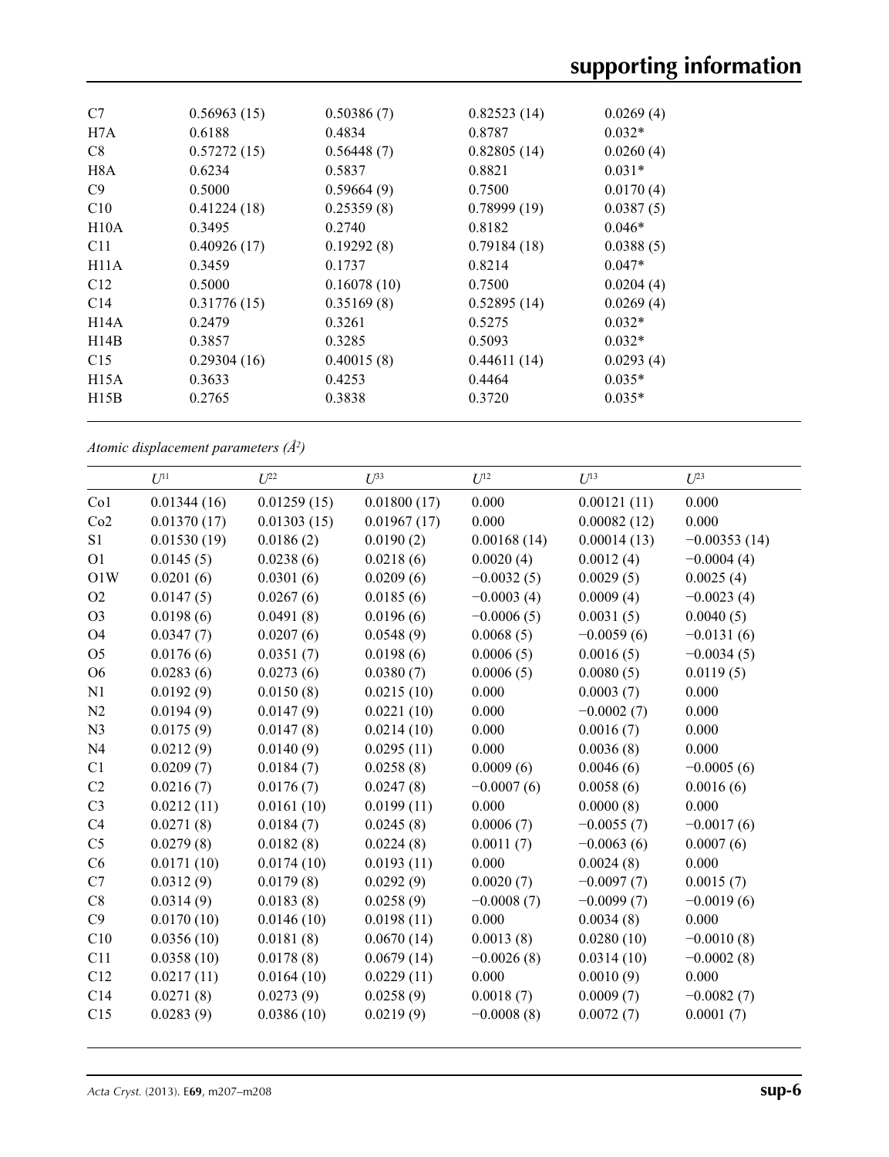| C7              | 0.56963(15) | 0.50386(7)  | 0.82523(14) | 0.0269(4) |  |
|-----------------|-------------|-------------|-------------|-----------|--|
| H7A             | 0.6188      | 0.4834      | 0.8787      | $0.032*$  |  |
| C8              | 0.57272(15) | 0.56448(7)  | 0.82805(14) | 0.0260(4) |  |
| H8A             | 0.6234      | 0.5837      | 0.8821      | $0.031*$  |  |
| C9              | 0.5000      | 0.59664(9)  | 0.7500      | 0.0170(4) |  |
| C10             | 0.41224(18) | 0.25359(8)  | 0.78999(19) | 0.0387(5) |  |
| H10A            | 0.3495      | 0.2740      | 0.8182      | $0.046*$  |  |
| C <sub>11</sub> | 0.40926(17) | 0.19292(8)  | 0.79184(18) | 0.0388(5) |  |
| H11A            | 0.3459      | 0.1737      | 0.8214      | $0.047*$  |  |
| C <sub>12</sub> | 0.5000      | 0.16078(10) | 0.7500      | 0.0204(4) |  |
| C14             | 0.31776(15) | 0.35169(8)  | 0.52895(14) | 0.0269(4) |  |
| H14A            | 0.2479      | 0.3261      | 0.5275      | $0.032*$  |  |
| H14B            | 0.3857      | 0.3285      | 0.5093      | $0.032*$  |  |
| C15             | 0.29304(16) | 0.40015(8)  | 0.44611(14) | 0.0293(4) |  |
| H15A            | 0.3633      | 0.4253      | 0.4464      | $0.035*$  |  |
| H15B            | 0.2765      | 0.3838      | 0.3720      | $0.035*$  |  |
|                 |             |             |             |           |  |

*Atomic displacement parameters (Å2 )*

|                 | $U^{11}$    | $U^{22}$    | $U^{33}$    | $U^{12}$     | $U^{13}$     | $U^{23}$       |
|-----------------|-------------|-------------|-------------|--------------|--------------|----------------|
| Co <sub>1</sub> | 0.01344(16) | 0.01259(15) | 0.01800(17) | 0.000        | 0.00121(11)  | 0.000          |
| Co2             | 0.01370(17) | 0.01303(15) | 0.01967(17) | 0.000        | 0.00082(12)  | 0.000          |
| S <sub>1</sub>  | 0.01530(19) | 0.0186(2)   | 0.0190(2)   | 0.00168(14)  | 0.00014(13)  | $-0.00353(14)$ |
| O <sub>1</sub>  | 0.0145(5)   | 0.0238(6)   | 0.0218(6)   | 0.0020(4)    | 0.0012(4)    | $-0.0004(4)$   |
| O1W             | 0.0201(6)   | 0.0301(6)   | 0.0209(6)   | $-0.0032(5)$ | 0.0029(5)    | 0.0025(4)      |
| O2              | 0.0147(5)   | 0.0267(6)   | 0.0185(6)   | $-0.0003(4)$ | 0.0009(4)    | $-0.0023(4)$   |
| O <sub>3</sub>  | 0.0198(6)   | 0.0491(8)   | 0.0196(6)   | $-0.0006(5)$ | 0.0031(5)    | 0.0040(5)      |
| <b>O4</b>       | 0.0347(7)   | 0.0207(6)   | 0.0548(9)   | 0.0068(5)    | $-0.0059(6)$ | $-0.0131(6)$   |
| O <sub>5</sub>  | 0.0176(6)   | 0.0351(7)   | 0.0198(6)   | 0.0006(5)    | 0.0016(5)    | $-0.0034(5)$   |
| O <sub>6</sub>  | 0.0283(6)   | 0.0273(6)   | 0.0380(7)   | 0.0006(5)    | 0.0080(5)    | 0.0119(5)      |
| N1              | 0.0192(9)   | 0.0150(8)   | 0.0215(10)  | 0.000        | 0.0003(7)    | 0.000          |
|                 |             |             |             |              |              |                |
| N2              | 0.0194(9)   | 0.0147(9)   | 0.0221(10)  | 0.000        | $-0.0002(7)$ | 0.000          |
| N <sub>3</sub>  | 0.0175(9)   | 0.0147(8)   | 0.0214(10)  | 0.000        | 0.0016(7)    | 0.000          |
| N <sub>4</sub>  | 0.0212(9)   | 0.0140(9)   | 0.0295(11)  | 0.000        | 0.0036(8)    | 0.000          |
| C1              | 0.0209(7)   | 0.0184(7)   | 0.0258(8)   | 0.0009(6)    | 0.0046(6)    | $-0.0005(6)$   |
| C2              | 0.0216(7)   | 0.0176(7)   | 0.0247(8)   | $-0.0007(6)$ | 0.0058(6)    | 0.0016(6)      |
| C <sub>3</sub>  | 0.0212(11)  | 0.0161(10)  | 0.0199(11)  | 0.000        | 0.0000(8)    | 0.000          |
| C4              | 0.0271(8)   | 0.0184(7)   | 0.0245(8)   | 0.0006(7)    | $-0.0055(7)$ | $-0.0017(6)$   |
| C <sub>5</sub>  | 0.0279(8)   | 0.0182(8)   | 0.0224(8)   | 0.0011(7)    | $-0.0063(6)$ | 0.0007(6)      |
| C6              | 0.0171(10)  | 0.0174(10)  | 0.0193(11)  | 0.000        | 0.0024(8)    | 0.000          |
| C7              | 0.0312(9)   | 0.0179(8)   | 0.0292(9)   | 0.0020(7)    | $-0.0097(7)$ | 0.0015(7)      |
| C8              | 0.0314(9)   | 0.0183(8)   | 0.0258(9)   | $-0.0008(7)$ | $-0.0099(7)$ | $-0.0019(6)$   |
| C9              | 0.0170(10)  | 0.0146(10)  | 0.0198(11)  | 0.000        | 0.0034(8)    | 0.000          |
| C10             | 0.0356(10)  | 0.0181(8)   | 0.0670(14)  | 0.0013(8)    | 0.0280(10)   | $-0.0010(8)$   |
| C11             | 0.0358(10)  | 0.0178(8)   | 0.0679(14)  | $-0.0026(8)$ | 0.0314(10)   | $-0.0002(8)$   |
| C12             | 0.0217(11)  | 0.0164(10)  | 0.0229(11)  | 0.000        | 0.0010(9)    | 0.000          |
| C <sub>14</sub> | 0.0271(8)   | 0.0273(9)   | 0.0258(9)   | 0.0018(7)    | 0.0009(7)    | $-0.0082(7)$   |
| C15             | 0.0283(9)   | 0.0386(10)  | 0.0219(9)   | $-0.0008(8)$ | 0.0072(7)    | 0.0001(7)      |
|                 |             |             |             |              |              |                |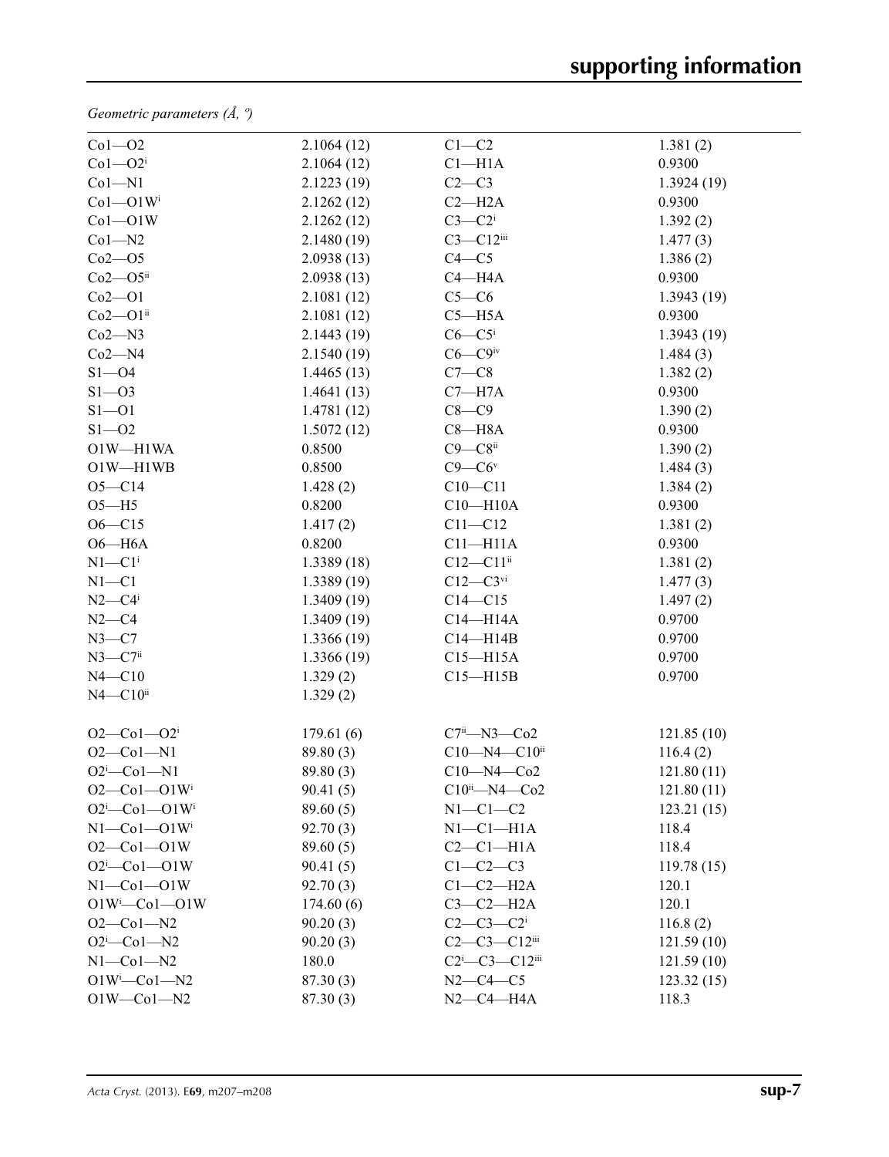*Geometric parameters (Å, º)*

| $Co1 - O2$                        | 2.1064(12) | $C1-C2$                                         | 1.381(2)   |
|-----------------------------------|------------|-------------------------------------------------|------------|
| $Co1 - O2i$                       | 2.1064(12) | $Cl-H1A$                                        | 0.9300     |
| $Co1 - N1$                        | 2.1223(19) | $C2-C3$                                         | 1.3924(19) |
| $Co1 - O1W$ <sup>i</sup>          | 2.1262(12) | $C2 - H2A$                                      | 0.9300     |
| $Co1 - O1W$                       | 2.1262(12) | $C3-C2$ <sup>i</sup>                            | 1.392(2)   |
| $Co1 - N2$                        | 2.1480(19) | $C3 - C12$ iii                                  | 1.477(3)   |
| $Co2 - O5$                        | 2.0938(13) | $C4 - C5$                                       | 1.386(2)   |
| $Co2 - O5$ ii                     | 2.0938(13) | $C4 - H4A$                                      | 0.9300     |
| $Co2-O1$                          | 2.1081(12) | $C5-C6$                                         | 1.3943(19) |
| $Co2-O1ii$                        | 2.1081(12) | $C5 - H5A$                                      | 0.9300     |
| $Co2 - N3$                        | 2.1443(19) | $C6-C5$                                         | 1.3943(19) |
| $Co2 - N4$                        | 2.1540(19) | $C6 - C9$ iv                                    | 1.484(3)   |
| $S1 - 04$                         | 1.4465(13) | $C7-C8$                                         | 1.382(2)   |
| $S1 - 03$                         | 1.4641(13) | $C7 - H7A$                                      | 0.9300     |
| $S1 - 01$                         | 1.4781(12) | $C8-C9$                                         | 1.390(2)   |
| $S1 - 02$                         | 1.5072(12) | $C8 - H8A$                                      | 0.9300     |
| O1W-H1WA                          | 0.8500     | $C9 - C8$ ii                                    | 1.390(2)   |
| O1W-H1WB                          | 0.8500     | $C9 - C6$ <sup>v</sup>                          | 1.484(3)   |
| $O5 - C14$                        | 1.428(2)   | $C10 - C11$                                     | 1.384(2)   |
| $O5 - H5$                         | 0.8200     | $C10 - H10A$                                    | 0.9300     |
| $O6 - C15$                        | 1.417(2)   | $C11 - C12$                                     | 1.381(2)   |
| $O6 - H6A$                        | 0.8200     | $C11 - H11A$                                    | 0.9300     |
| $N1-C1$ <sup>i</sup>              | 1.3389(18) | $C12 - C11$ <sup>ii</sup>                       | 1.381(2)   |
| $N1 - C1$                         | 1.3389(19) | $C12 - C3$ <sup>vi</sup>                        | 1.477(3)   |
| $N2-C4$                           | 1.3409(19) | $C14 - C15$                                     | 1.497(2)   |
| $N2-C4$                           | 1.3409(19) | $C14 - H14A$                                    | 0.9700     |
| $N3-C7$                           | 1.3366(19) | $C14 - H14B$                                    | 0.9700     |
| $N3 - C7$ <sup>ii</sup>           | 1.3366(19) | $C15 - H15A$                                    | 0.9700     |
| $N4 - C10$                        | 1.329(2)   | $C15 - H15B$                                    | 0.9700     |
| $N4 - C10$ ii                     | 1.329(2)   |                                                 |            |
| $O2-Co1-O2i$                      | 179.61(6)  | $C7i$ <sup>i</sup> -N3- $Co2$                   | 121.85(10) |
| $O2 - Co1 - N1$                   | 89.80 (3)  | C10-N4-C10ii                                    | 116.4(2)   |
| $O2^i$ -Co1-N1                    | 89.80 (3)  | $C10 - N4 - C02$                                | 121.80(11) |
| $O2$ — $Co1$ — $O1W$ <sup>i</sup> | 90.41(5)   | $C10^{ii}$ - N4 - Co2                           | 121.80(11) |
| $O2^i$ -Co1- $O1W^i$              | 89.60(5)   | $N1-C1-C2$                                      | 123.21(15) |
| $N1$ — $Co1$ — $O1W$ <sup>i</sup> | 92.70(3)   | $N1-C1-H1A$                                     | 118.4      |
| $O2 - Co1 - O1W$                  | 89.60(5)   | $C2-C1-H1A$                                     | 118.4      |
| $O2^i$ -Col--OlW                  | 90.41(5)   | $C1-C2-C3$                                      | 119.78(15) |
| $N1-Co1-O1W$                      | 92.70(3)   | $C1-C2-H2A$                                     | 120.1      |
| $O1W^i$ -Co $1$ -O1W              | 174.60(6)  | $C3-C2-H2A$                                     | 120.1      |
| $O2 - Co1 - N2$                   | 90.20(3)   | $C2 - C3 - C2$ <sup>i</sup>                     | 116.8(2)   |
| $O2^i$ -Co1-N2                    | 90.20(3)   | $C2-C3-C12$ <sup>iii</sup>                      | 121.59(10) |
| $N1$ — $Co1$ — $N2$               | 180.0      | $C2$ <sup>i</sup> — $C3$ — $C12$ <sup>iii</sup> | 121.59(10) |
| $O1W^i$ -Co $1$ -N2               | 87.30(3)   | $N2 - C4 - C5$                                  | 123.32(15) |
| $O1W - Co1 - N2$                  | 87.30(3)   | $N2-C4-H4A$                                     | 118.3      |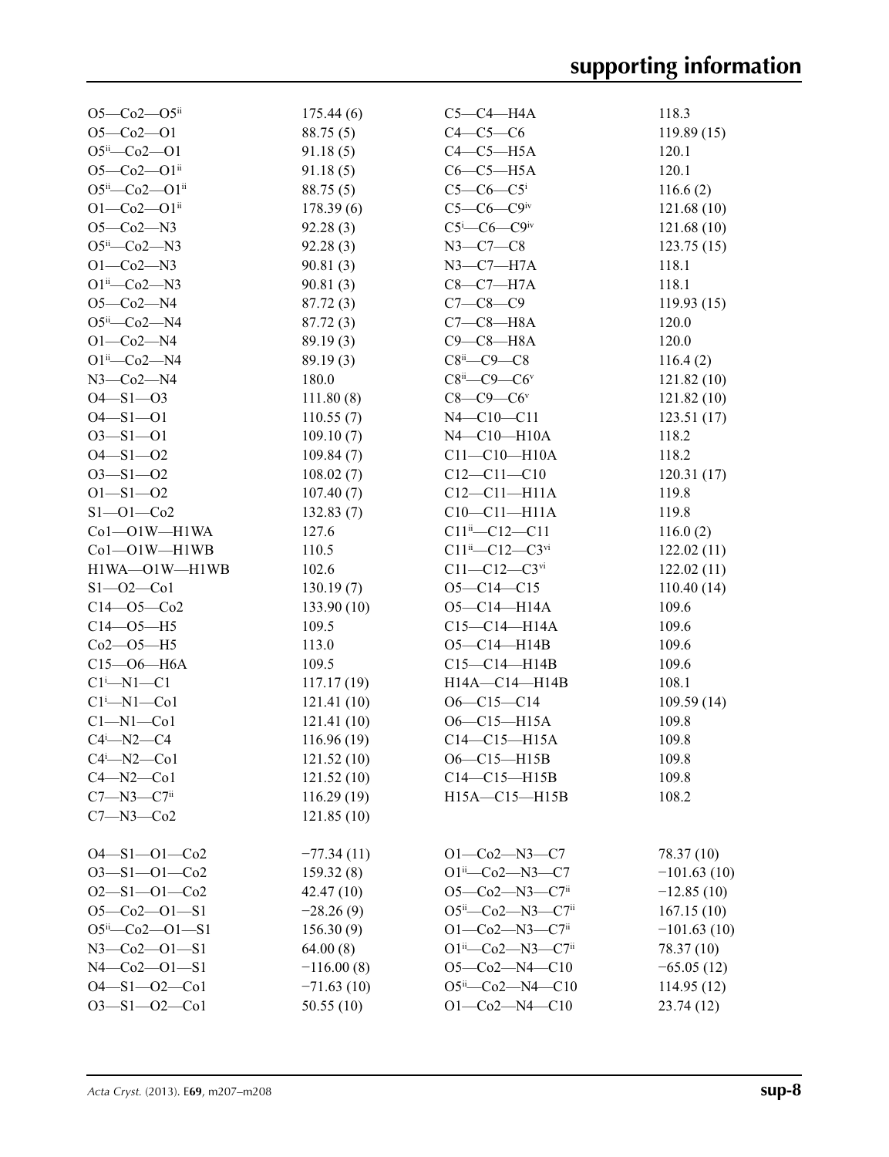| $O5 - Co2 - O5$ ii                                  | 175.44(6)                | $C5-C4-H4A$                                   | 118.3         |
|-----------------------------------------------------|--------------------------|-----------------------------------------------|---------------|
| $O5-Co2-O1$                                         | 88.75 (5)                | $C4-C5-C6$                                    | 119.89(15)    |
| $O5^{ii} - Co2 - O1$                                | 91.18(5)                 | $C4-C5-H5A$                                   | 120.1         |
| $O5 - Co2 - O1$ <sup>ii</sup>                       | 91.18(5)                 | $C6-C5-H5A$                                   | 120.1         |
| O5ii-Co2-O1ii                                       | 88.75(5)                 | $C5-C6-C5$ <sup>i</sup>                       | 116.6(2)      |
| $O1 - Co2 - O1$ <sup>ii</sup>                       | 178.39(6)                | $C5-C6-C9$ iv                                 | 121.68(10)    |
| $O5-Co2-N3$                                         | 92.28(3)                 | $C5$ <sup>i</sup> — $C6$ — $C9$ <sup>iv</sup> | 121.68 (10)   |
| $O5^{ii}$ — $Co2$ —N3                               | 92.28(3)                 | $N3 - C7 - C8$                                | 123.75(15)    |
| $O1 - Co2 - N3$                                     | 90.81(3)                 | $N3-C7-H7A$                                   | 118.1         |
| $O1^{ii} - Co2 - N3$                                | 90.81(3)                 | $C8-C7-H7A$                                   | 118.1         |
| $O5 - Co2 - N4$                                     | 87.72(3)                 | $C7 - C8 - C9$                                | 119.93(15)    |
| $O5^{ii}$ -Co2-N4                                   | 87.72 (3)                | $C7-C8-H8A$                                   | 120.0         |
| $O1 - Co2 - N4$                                     | 89.19(3)                 | $C9-C8-H8A$                                   | 120.0         |
| $O1^{ii}$ - $Co2$ - N4                              | 89.19(3)                 | $C8^{ii}$ — $C9$ — $C8$                       | 116.4(2)      |
| $N3$ –Co2–N4                                        | 180.0                    | $C8^{ii}$ — $C9$ — $C6v$                      | 121.82(10)    |
| $O4 - S1 - O3$                                      | 111.80(8)                | $C8-C9-C6v$                                   | 121.82(10)    |
| $O4 - S1 - O1$                                      | 110.55(7)                | $N4 - C10 - C11$                              | 123.51(17)    |
| $O3 - S1 - O1$                                      | 109.10(7)                | $N4 - C10 - H10A$                             | 118.2         |
| $O4 - S1 - O2$                                      | 109.84(7)                | $C11 - C10 - H10A$                            | 118.2         |
| $O3 - S1 - O2$                                      | 108.02(7)                | $C12 - C11 - C10$                             | 120.31(17)    |
| $O1 - S1 - O2$                                      | 107.40(7)                | $C12-C11-H11A$                                | 119.8         |
| $S1 - 01 - C02$                                     | 132.83(7)                | $C10-C11-H11A$                                | 119.8         |
| Co1-O1W-H1WA                                        | 127.6                    | $C11^{ii} - C12 - C11$                        | 116.0(2)      |
| Co1-O1W-H1WB                                        | 110.5                    | $C11^{ii} - C12 - C3^{vi}$                    | 122.02(11)    |
| H1WA-O1W-H1WB                                       | 102.6                    | $C11 - C12 - C3$ <sup>vi</sup>                | 122.02(11)    |
| $S1 - 02 - C01$                                     | 130.19(7)                | $O5 - C14 - C15$                              | 110.40(14)    |
| $C14 - 05 - C02$                                    | 133.90(10)               | O5-C14-H14A                                   | 109.6         |
| $C14 - 05 - H5$                                     | 109.5                    | $C15 - C14 - H14A$                            | 109.6         |
| $Co2 - O5 - H5$                                     | 113.0                    | $O5 - C14 - H14B$                             | 109.6         |
| $C15 - 06 - H6A$                                    | 109.5                    | $C15-C14-H14B$                                | 109.6         |
| $Cl^1$ —N1—C1                                       |                          | H14A-C14-H14B                                 | 108.1         |
|                                                     | 117.17(19)               | $O6-C15-C14$                                  | 109.59(14)    |
| $Cl^i$ —N $1$ —Co $1$<br>$Cl-M1-C01$                | 121.41(10)<br>121.41(10) | $O6 - C15 - H15A$                             | 109.8         |
|                                                     |                          | $C14-C15-H15A$                                |               |
| $C4$ <sup>i</sup> $-N2$ <sup>-<math>C4</math></sup> | 116.96(19)               | O6-C15-H15B                                   | 109.8         |
| $C4$ <sup>i</sup> $-N2$ <sup>co</sup> $1$           | 121.52(10)               |                                               | 109.8         |
| $C4 - N2 - C01$                                     | 121.52 (10)              | $C14-C15-H15B$                                | 109.8         |
| $C7 - N3 - C7$ <sup>ii</sup>                        | 116.29(19)               | H15A-C15-H15B                                 | 108.2         |
| $C7 - N3 - Co2$                                     | 121.85(10)               |                                               |               |
| $O4 - S1 - O1 - Co2$                                | $-77.34(11)$             | $O1-Co2-N3-C7$                                | 78.37 (10)    |
| $O3 - S1 - O1 - Co2$                                | 159.32(8)                | $O1^{ii}$ - $Co2$ - $N3$ - $C7$               | $-101.63(10)$ |
| $O2 - S1 - O1 - Co2$                                | 42.47(10)                | O5-Co2-N3-C7ii                                | $-12.85(10)$  |
| $O5 - Co2 - O1 - S1$                                | $-28.26(9)$              | O5 <sup>ii</sup> -Co2-N3-C7 <sup>ii</sup>     | 167.15(10)    |
| $O5^{ii} - Co2 - O1 - S1$                           | 156.30(9)                | $O1 - Co2 - N3 - C7$ <sup>ii</sup>            | $-101.63(10)$ |
| $N3 - Co2 - O1 - S1$                                | 64.00(8)                 | $O1^{ii}$ - Co2 - N3 - C7 <sup>ii</sup>       | 78.37 (10)    |
| $N4 - Co2 - O1 - S1$                                | $-116.00(8)$             | $O5-Co2-N4-C10$                               | $-65.05(12)$  |
| $O4 - S1 - O2 - Co1$                                | $-71.63(10)$             | $O5^{ii}$ - $Co2$ - $N4$ - $Cl0$              | 114.95 (12)   |
| $O3 - S1 - O2 - Co1$                                | 50.55(10)                | $O1 - Co2 - N4 - C10$                         | 23.74(12)     |
|                                                     |                          |                                               |               |